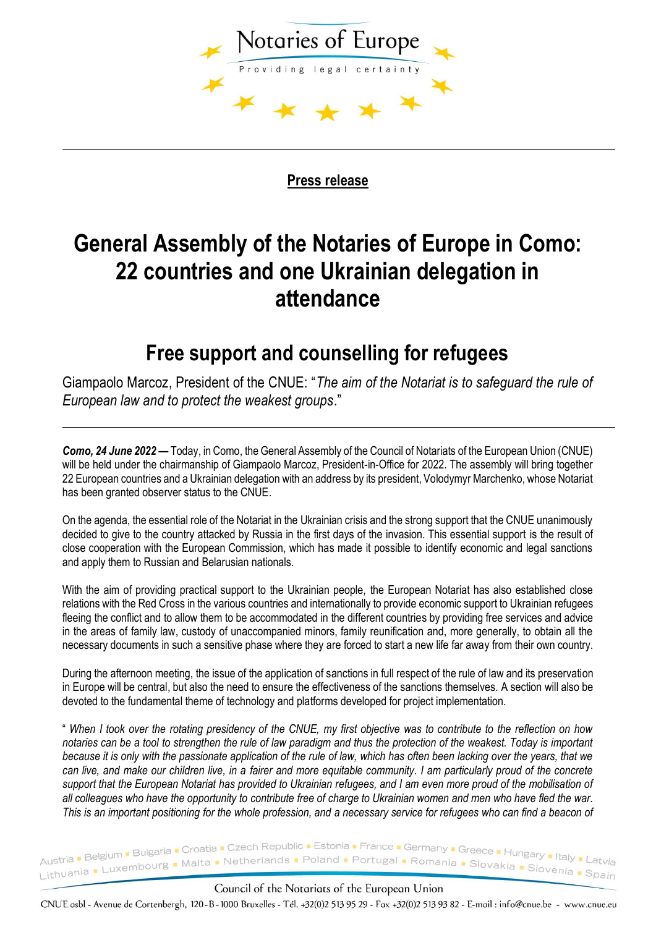

**Press release**

# **General Assembly of the Notaries of Europe in Como: 22 countries and one Ukrainian delegation in attendance**

## **Free support and counselling for refugees**

Giampaolo Marcoz, President of the CNUE: "*The aim of the Notariat is to safeguard the rule of European law and to protect the weakest groups*."

*Como, 24 June 2022 —* Today, in Como, the General Assembly of the Council of Notariats of the European Union (CNUE) will be held under the chairmanship of Giampaolo Marcoz, President-in-Office for 2022. The assembly will bring together 22 European countries and a Ukrainian delegation with an address by its president, Volodymyr Marchenko, whose Notariat has been granted observer status to the CNUE.

On the agenda, the essential role of the Notariat in the Ukrainian crisis and the strong support that the CNUE unanimously decided to give to the country attacked by Russia in the first days of the invasion. This essential support is the result of close cooperation with the European Commission, which has made it possible to identify economic and legal sanctions and apply them to Russian and Belarusian nationals.

With the aim of providing practical support to the Ukrainian people, the European Notariat has also established close relations with the Red Cross in the various countries and internationally to provide economic support to Ukrainian refugees fleeing the conflict and to allow them to be accommodated in the different countries by providing free services and advice in the areas of family law, custody of unaccompanied minors, family reunification and, more generally, to obtain all the necessary documents in such a sensitive phase where they are forced to start a new life far away from their own country.

During the afternoon meeting, the issue of the application of sanctions in full respect of the rule of law and its preservation in Europe will be central, but also the need to ensure the effectiveness of the sanctions themselves. A section will also be devoted to the fundamental theme of technology and platforms developed for project implementation.

" *When I took over the rotating presidency of the CNUE, my first objective was to contribute to the reflection on how notaries can be a tool to strengthen the rule of law paradigm and thus the protection of the weakest. Today is important because it is only with the passionate application of the rule of law, which has often been lacking over the years, that we can live, and make our children live, in a fairer and more equitable community. I am particularly proud of the concrete support that the European Notariat has provided to Ukrainian refugees, and I am even more proud of the mobilisation of all colleagues who have the opportunity to contribute free of charge to Ukrainian women and men who have fled the war. This is an important positioning for the whole profession, and a necessary service for refugees who can find a beacon of* 

Austria Belgium Bulgaria Croatia Czech Republic Estonia France Germany Greece Hungary Blaly Latvia<br>Poland Portugal Romania Blovakia Polysia Patrickia Political Blovakia Political Blackia Political Charles Pol Austria Belgium Bulgaria<br>Lithuania Luxembourg Malta Netherlands Poland Portugal Romania Blovakia Blovenia Boain

### Council of the Notariats of the European Union

CNUE asbl - Avenue de Cortenbergh, 120-B-1000 Bruxelles - Tél. +32(0)2 513 95 29 - Fax +32(0)2 513 93 82 - E-mail : info@cnue.be - www.cnue.eu